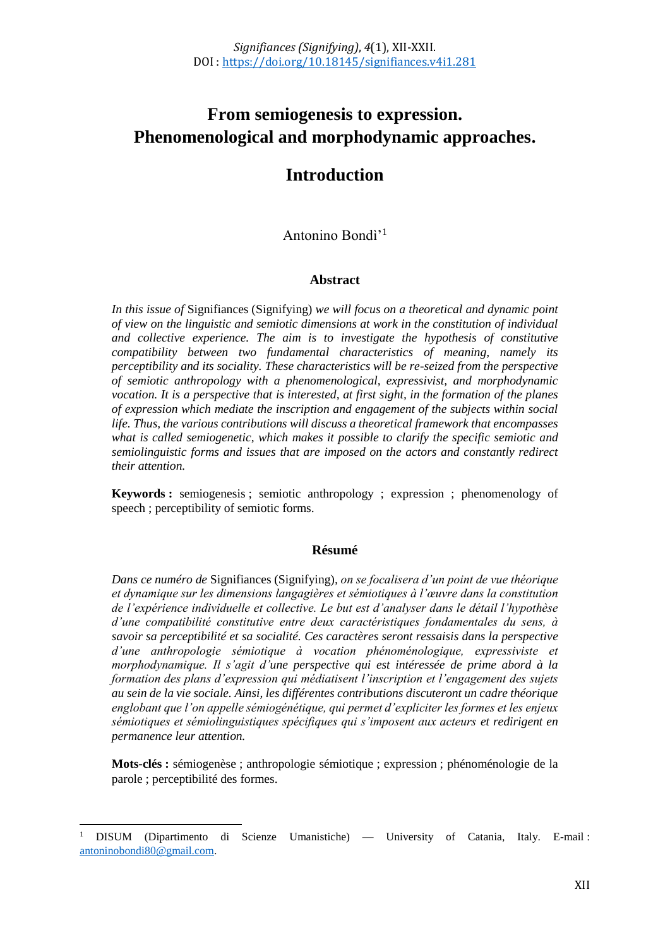# **From semiogenesis to expression. Phenomenological and morphodynamic approaches.**

## **Introduction**

Antonino Bondì'<sup>1</sup>

#### **Abstract**

*In this issue of* Signifiances (Signifying) *we will focus on a theoretical and dynamic point of view on the linguistic and semiotic dimensions at work in the constitution of individual and collective experience. The aim is to investigate the hypothesis of constitutive compatibility between two fundamental characteristics of meaning, namely its perceptibility and its sociality. These characteristics will be re-seized from the perspective of semiotic anthropology with a phenomenological, expressivist, and morphodynamic vocation. It is a perspective that is interested, at first sight, in the formation of the planes of expression which mediate the inscription and engagement of the subjects within social life. Thus, the various contributions will discuss a theoretical framework that encompasses what is called semiogenetic, which makes it possible to clarify the specific semiotic and semiolinguistic forms and issues that are imposed on the actors and constantly redirect their attention.* 

**Keywords :** semiogenesis ; semiotic anthropology ; expression ; phenomenology of speech ; perceptibility of semiotic forms.

#### **Résumé**

*Dans ce numéro de* Signifiances (Signifying)*, on se focalisera d'un point de vue théorique et dynamique sur les dimensions langagières et sémiotiques à l'œuvre dans la constitution de l'expérience individuelle et collective. Le but est d'analyser dans le détail l'hypothèse d'une compatibilité constitutive entre deux caractéristiques fondamentales du sens, à savoir sa perceptibilité et sa socialité. Ces caractères seront ressaisis dans la perspective d'une anthropologie sémiotique à vocation phénoménologique, expressiviste et morphodynamique. Il s'agit d'une perspective qui est intéressée de prime abord à la formation des plans d'expression qui médiatisent l'inscription et l'engagement des sujets au sein de la vie sociale. Ainsi, les différentes contributions discuteront un cadre théorique englobant que l'on appelle sémiogénétique, qui permet d'expliciter les formes et les enjeux sémiotiques et sémiolinguistiques spécifiques qui s'imposent aux acteurs et redirigent en permanence leur attention.* 

**Mots-clés :** sémiogenèse ; anthropologie sémiotique ; expression ; phénoménologie de la parole ; perceptibilité des formes.

 $\overline{a}$ 

<sup>1</sup> DISUM (Dipartimento di Scienze Umanistiche) — University of Catania, Italy. E-mail : [antoninobondi80@gmail.com.](mailto:antoninobondi80@gmail.com)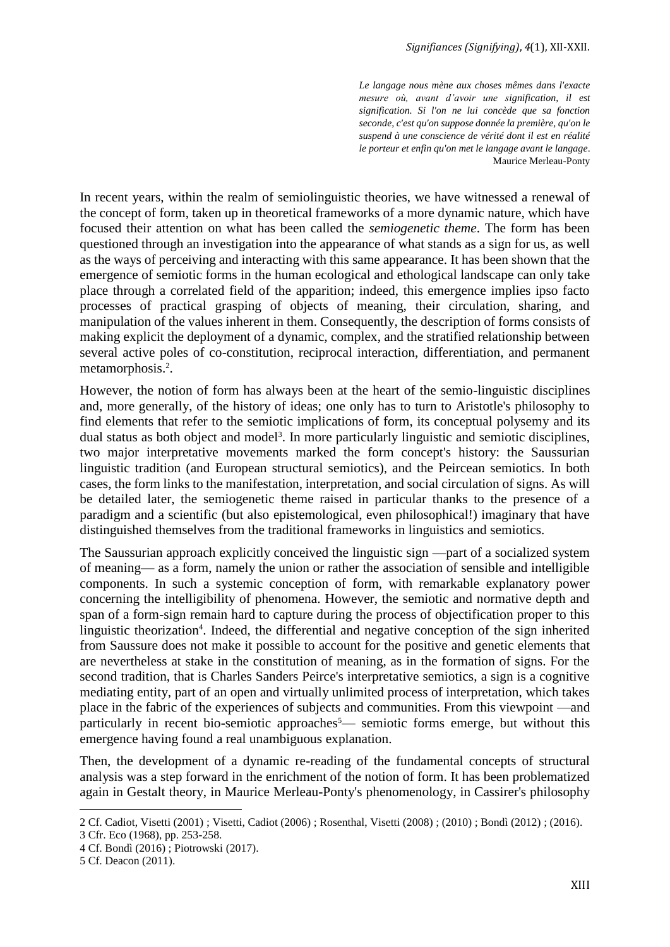*Le langage nous mène aux choses mêmes dans l'exacte mesure où, avant d'avoir une signification, il est signification. Si l'on ne lui concède que sa fonction seconde, c'est qu'on suppose donnée la première, qu'on le suspend à une conscience de vérité dont il est en réalité le porteur et enfin qu'on met le langage avant le langage*. Maurice Merleau-Ponty

In recent years, within the realm of semiolinguistic theories, we have witnessed a renewal of the concept of form, taken up in theoretical frameworks of a more dynamic nature, which have focused their attention on what has been called the *semiogenetic theme*. The form has been questioned through an investigation into the appearance of what stands as a sign for us, as well as the ways of perceiving and interacting with this same appearance. It has been shown that the emergence of semiotic forms in the human ecological and ethological landscape can only take place through a correlated field of the apparition; indeed, this emergence implies ipso facto processes of practical grasping of objects of meaning, their circulation, sharing, and manipulation of the values inherent in them. Consequently, the description of forms consists of making explicit the deployment of a dynamic, complex, and the stratified relationship between several active poles of co-constitution, reciprocal interaction, differentiation, and permanent metamorphosis.<sup>2</sup>.

However, the notion of form has always been at the heart of the semio-linguistic disciplines and, more generally, of the history of ideas; one only has to turn to Aristotle's philosophy to find elements that refer to the semiotic implications of form, its conceptual polysemy and its dual status as both object and model<sup>3</sup>. In more particularly linguistic and semiotic disciplines, two major interpretative movements marked the form concept's history: the Saussurian linguistic tradition (and European structural semiotics), and the Peircean semiotics. In both cases, the form links to the manifestation, interpretation, and social circulation of signs. As will be detailed later, the semiogenetic theme raised in particular thanks to the presence of a paradigm and a scientific (but also epistemological, even philosophical!) imaginary that have distinguished themselves from the traditional frameworks in linguistics and semiotics.

The Saussurian approach explicitly conceived the linguistic sign —part of a socialized system of meaning— as a form, namely the union or rather the association of sensible and intelligible components. In such a systemic conception of form, with remarkable explanatory power concerning the intelligibility of phenomena. However, the semiotic and normative depth and span of a form-sign remain hard to capture during the process of objectification proper to this linguistic theorization<sup>4</sup>. Indeed, the differential and negative conception of the sign inherited from Saussure does not make it possible to account for the positive and genetic elements that are nevertheless at stake in the constitution of meaning, as in the formation of signs. For the second tradition, that is Charles Sanders Peirce's interpretative semiotics, a sign is a cognitive mediating entity, part of an open and virtually unlimited process of interpretation, which takes place in the fabric of the experiences of subjects and communities. From this viewpoint —and particularly in recent bio-semiotic approaches<sup>5</sup>— semiotic forms emerge, but without this emergence having found a real unambiguous explanation.

Then, the development of a dynamic re-reading of the fundamental concepts of structural analysis was a step forward in the enrichment of the notion of form. It has been problematized again in Gestalt theory, in Maurice Merleau-Ponty's phenomenology, in Cassirer's philosophy

 $\overline{\phantom{a}}$ 

<sup>2</sup> Cf. Cadiot, Visetti (2001) ; Visetti, Cadiot (2006) ; Rosenthal, Visetti (2008) ; (2010) ; Bondì (2012) ; (2016).

<sup>3</sup> Cfr. Eco (1968), pp. 253-258.

<sup>4</sup> Cf. Bondì (2016) ; Piotrowski (2017).

<sup>5</sup> Cf. Deacon (2011).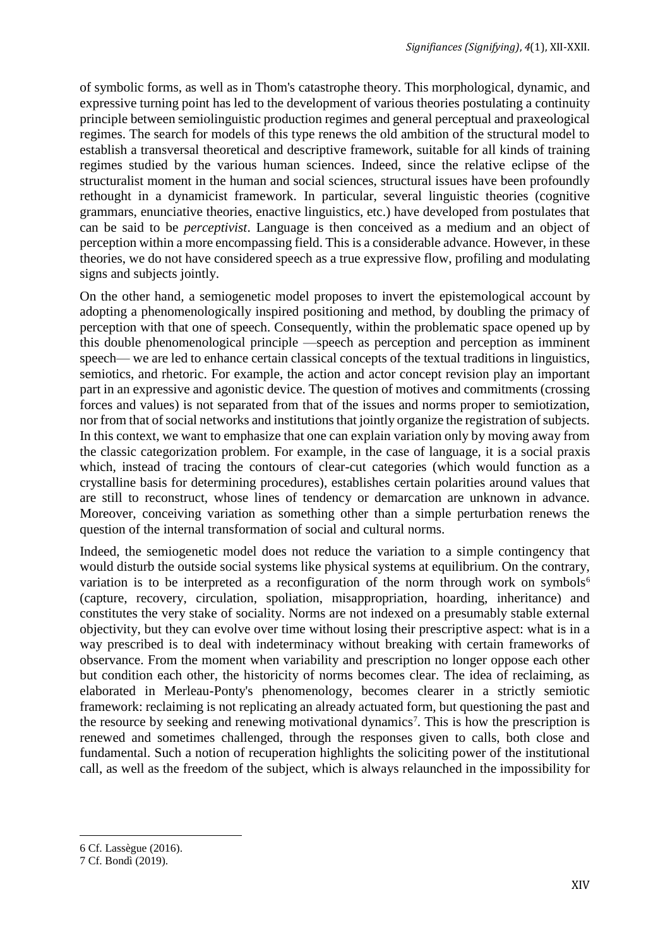of symbolic forms, as well as in Thom's catastrophe theory. This morphological, dynamic, and expressive turning point has led to the development of various theories postulating a continuity principle between semiolinguistic production regimes and general perceptual and praxeological regimes. The search for models of this type renews the old ambition of the structural model to establish a transversal theoretical and descriptive framework, suitable for all kinds of training regimes studied by the various human sciences. Indeed, since the relative eclipse of the structuralist moment in the human and social sciences, structural issues have been profoundly rethought in a dynamicist framework. In particular, several linguistic theories (cognitive grammars, enunciative theories, enactive linguistics, etc.) have developed from postulates that can be said to be *perceptivist*. Language is then conceived as a medium and an object of perception within a more encompassing field. This is a considerable advance. However, in these theories, we do not have considered speech as a true expressive flow, profiling and modulating signs and subjects jointly.

On the other hand, a semiogenetic model proposes to invert the epistemological account by adopting a phenomenologically inspired positioning and method, by doubling the primacy of perception with that one of speech. Consequently, within the problematic space opened up by this double phenomenological principle —speech as perception and perception as imminent speech— we are led to enhance certain classical concepts of the textual traditions in linguistics, semiotics, and rhetoric. For example, the action and actor concept revision play an important part in an expressive and agonistic device. The question of motives and commitments (crossing forces and values) is not separated from that of the issues and norms proper to semiotization, nor from that of social networks and institutions that jointly organize the registration of subjects. In this context, we want to emphasize that one can explain variation only by moving away from the classic categorization problem. For example, in the case of language, it is a social praxis which, instead of tracing the contours of clear-cut categories (which would function as a crystalline basis for determining procedures), establishes certain polarities around values that are still to reconstruct, whose lines of tendency or demarcation are unknown in advance. Moreover, conceiving variation as something other than a simple perturbation renews the question of the internal transformation of social and cultural norms.

Indeed, the semiogenetic model does not reduce the variation to a simple contingency that would disturb the outside social systems like physical systems at equilibrium. On the contrary, variation is to be interpreted as a reconfiguration of the norm through work on symbols<sup>6</sup> (capture, recovery, circulation, spoliation, misappropriation, hoarding, inheritance) and constitutes the very stake of sociality. Norms are not indexed on a presumably stable external objectivity, but they can evolve over time without losing their prescriptive aspect: what is in a way prescribed is to deal with indeterminacy without breaking with certain frameworks of observance. From the moment when variability and prescription no longer oppose each other but condition each other, the historicity of norms becomes clear. The idea of reclaiming, as elaborated in Merleau-Ponty's phenomenology, becomes clearer in a strictly semiotic framework: reclaiming is not replicating an already actuated form, but questioning the past and the resource by seeking and renewing motivational dynamics<sup>7</sup>. This is how the prescription is renewed and sometimes challenged, through the responses given to calls, both close and fundamental. Such a notion of recuperation highlights the soliciting power of the institutional call, as well as the freedom of the subject, which is always relaunched in the impossibility for

 $\overline{a}$ 

<sup>6</sup> Cf. Lassègue (2016).

<sup>7</sup> Cf. Bondì (2019).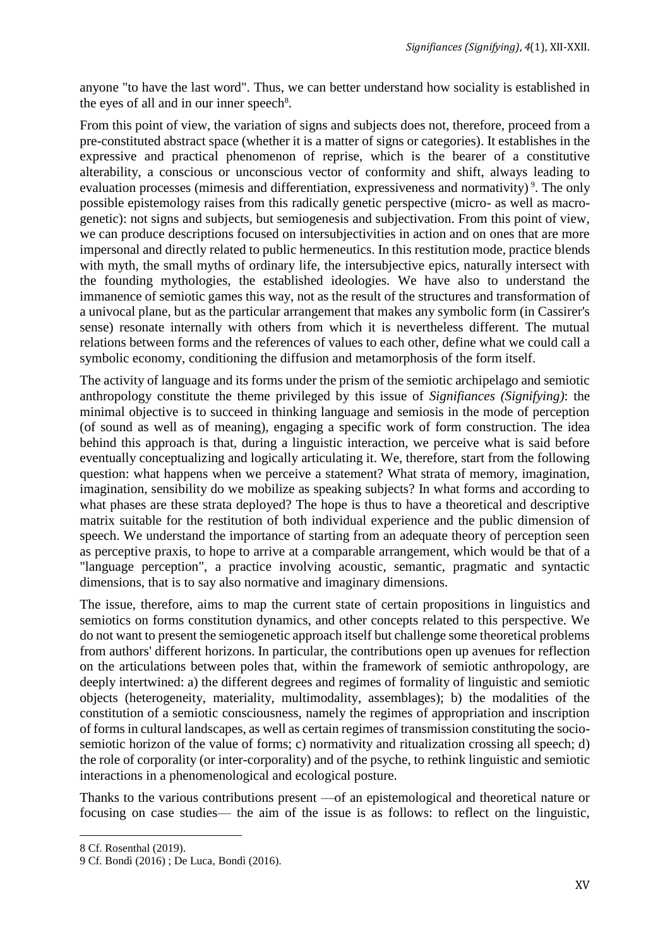anyone "to have the last word". Thus, we can better understand how sociality is established in the eyes of all and in our inner speech<sup>8</sup>.

From this point of view, the variation of signs and subjects does not, therefore, proceed from a pre-constituted abstract space (whether it is a matter of signs or categories). It establishes in the expressive and practical phenomenon of reprise, which is the bearer of a constitutive alterability, a conscious or unconscious vector of conformity and shift, always leading to evaluation processes (mimesis and differentiation, expressiveness and normativity)<sup>9</sup>. The only possible epistemology raises from this radically genetic perspective (micro- as well as macrogenetic): not signs and subjects, but semiogenesis and subjectivation. From this point of view, we can produce descriptions focused on intersubjectivities in action and on ones that are more impersonal and directly related to public hermeneutics. In this restitution mode, practice blends with myth, the small myths of ordinary life, the intersubjective epics, naturally intersect with the founding mythologies, the established ideologies. We have also to understand the immanence of semiotic games this way, not as the result of the structures and transformation of a univocal plane, but as the particular arrangement that makes any symbolic form (in Cassirer's sense) resonate internally with others from which it is nevertheless different. The mutual relations between forms and the references of values to each other, define what we could call a symbolic economy, conditioning the diffusion and metamorphosis of the form itself.

The activity of language and its forms under the prism of the semiotic archipelago and semiotic anthropology constitute the theme privileged by this issue of *Signifiances (Signifying)*: the minimal objective is to succeed in thinking language and semiosis in the mode of perception (of sound as well as of meaning), engaging a specific work of form construction. The idea behind this approach is that, during a linguistic interaction, we perceive what is said before eventually conceptualizing and logically articulating it. We, therefore, start from the following question: what happens when we perceive a statement? What strata of memory, imagination, imagination, sensibility do we mobilize as speaking subjects? In what forms and according to what phases are these strata deployed? The hope is thus to have a theoretical and descriptive matrix suitable for the restitution of both individual experience and the public dimension of speech. We understand the importance of starting from an adequate theory of perception seen as perceptive praxis, to hope to arrive at a comparable arrangement, which would be that of a "language perception", a practice involving acoustic, semantic, pragmatic and syntactic dimensions, that is to say also normative and imaginary dimensions.

The issue, therefore, aims to map the current state of certain propositions in linguistics and semiotics on forms constitution dynamics, and other concepts related to this perspective. We do not want to present the semiogenetic approach itself but challenge some theoretical problems from authors' different horizons. In particular, the contributions open up avenues for reflection on the articulations between poles that, within the framework of semiotic anthropology, are deeply intertwined: a) the different degrees and regimes of formality of linguistic and semiotic objects (heterogeneity, materiality, multimodality, assemblages); b) the modalities of the constitution of a semiotic consciousness, namely the regimes of appropriation and inscription of forms in cultural landscapes, as well as certain regimes of transmission constituting the sociosemiotic horizon of the value of forms; c) normativity and ritualization crossing all speech; d) the role of corporality (or inter-corporality) and of the psyche, to rethink linguistic and semiotic interactions in a phenomenological and ecological posture.

Thanks to the various contributions present —of an epistemological and theoretical nature or focusing on case studies— the aim of the issue is as follows: to reflect on the linguistic,

 $\overline{a}$ 

<sup>8</sup> Cf. Rosenthal (2019).

<sup>9</sup> Cf. Bondì (2016) ; De Luca, Bondì (2016).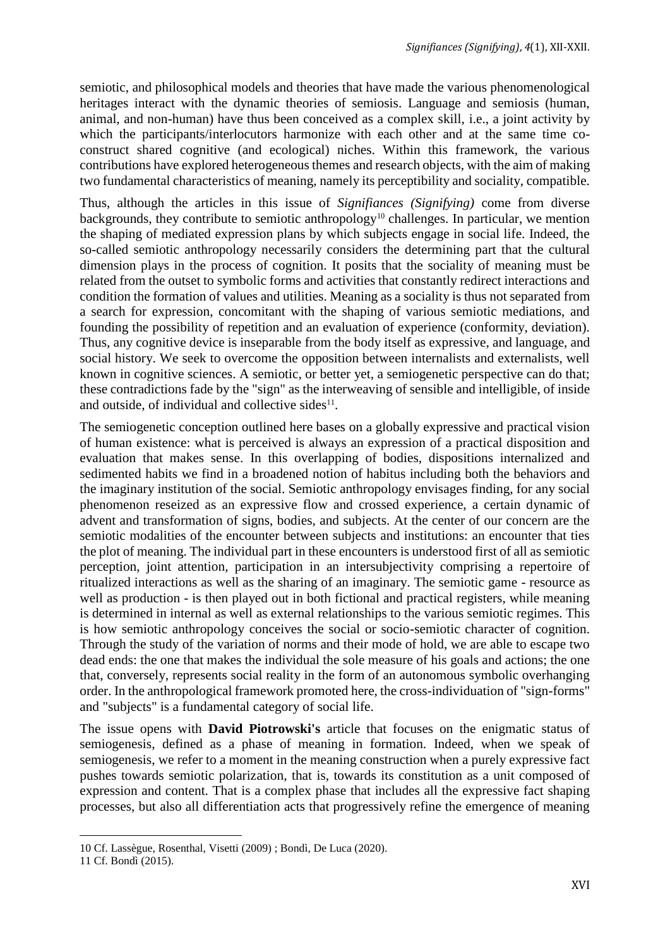semiotic, and philosophical models and theories that have made the various phenomenological heritages interact with the dynamic theories of semiosis. Language and semiosis (human, animal, and non-human) have thus been conceived as a complex skill, i.e., a joint activity by which the participants/interlocutors harmonize with each other and at the same time coconstruct shared cognitive (and ecological) niches. Within this framework, the various contributions have explored heterogeneous themes and research objects, with the aim of making two fundamental characteristics of meaning, namely its perceptibility and sociality, compatible.

Thus, although the articles in this issue of *Signifiances (Signifying)* come from diverse backgrounds, they contribute to semiotic anthropology<sup>10</sup> challenges. In particular, we mention the shaping of mediated expression plans by which subjects engage in social life. Indeed, the so-called semiotic anthropology necessarily considers the determining part that the cultural dimension plays in the process of cognition. It posits that the sociality of meaning must be related from the outset to symbolic forms and activities that constantly redirect interactions and condition the formation of values and utilities. Meaning as a sociality is thus not separated from a search for expression, concomitant with the shaping of various semiotic mediations, and founding the possibility of repetition and an evaluation of experience (conformity, deviation). Thus, any cognitive device is inseparable from the body itself as expressive, and language, and social history. We seek to overcome the opposition between internalists and externalists, well known in cognitive sciences. A semiotic, or better yet, a semiogenetic perspective can do that; these contradictions fade by the "sign" as the interweaving of sensible and intelligible, of inside and outside, of individual and collective sides $11$ .

The semiogenetic conception outlined here bases on a globally expressive and practical vision of human existence: what is perceived is always an expression of a practical disposition and evaluation that makes sense. In this overlapping of bodies, dispositions internalized and sedimented habits we find in a broadened notion of habitus including both the behaviors and the imaginary institution of the social. Semiotic anthropology envisages finding, for any social phenomenon reseized as an expressive flow and crossed experience, a certain dynamic of advent and transformation of signs, bodies, and subjects. At the center of our concern are the semiotic modalities of the encounter between subjects and institutions: an encounter that ties the plot of meaning. The individual part in these encounters is understood first of all as semiotic perception, joint attention, participation in an intersubjectivity comprising a repertoire of ritualized interactions as well as the sharing of an imaginary. The semiotic game - resource as well as production - is then played out in both fictional and practical registers, while meaning is determined in internal as well as external relationships to the various semiotic regimes. This is how semiotic anthropology conceives the social or socio-semiotic character of cognition. Through the study of the variation of norms and their mode of hold, we are able to escape two dead ends: the one that makes the individual the sole measure of his goals and actions; the one that, conversely, represents social reality in the form of an autonomous symbolic overhanging order. In the anthropological framework promoted here, the cross-individuation of "sign-forms" and "subjects" is a fundamental category of social life.

The issue opens with **David Piotrowski's** article that focuses on the enigmatic status of semiogenesis, defined as a phase of meaning in formation. Indeed, when we speak of semiogenesis, we refer to a moment in the meaning construction when a purely expressive fact pushes towards semiotic polarization, that is, towards its constitution as a unit composed of expression and content. That is a complex phase that includes all the expressive fact shaping processes, but also all differentiation acts that progressively refine the emergence of meaning

 $\overline{a}$ 10 Cf. Lassègue, Rosenthal, Visetti (2009) ; Bondì, De Luca (2020).

<sup>11</sup> Cf. Bondì (2015).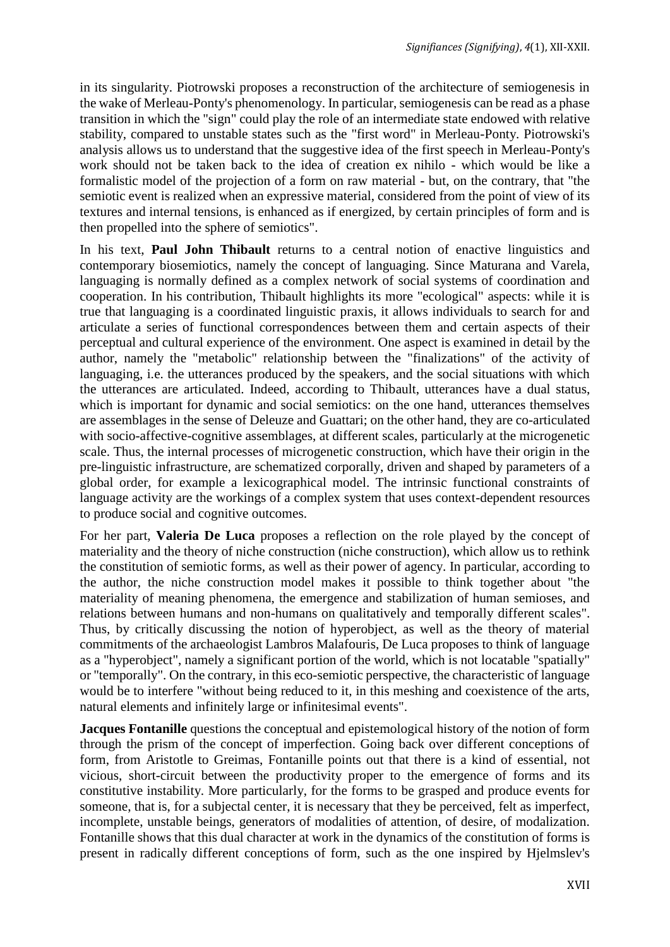in its singularity. Piotrowski proposes a reconstruction of the architecture of semiogenesis in the wake of Merleau-Ponty's phenomenology. In particular, semiogenesis can be read as a phase transition in which the "sign" could play the role of an intermediate state endowed with relative stability, compared to unstable states such as the "first word" in Merleau-Ponty. Piotrowski's analysis allows us to understand that the suggestive idea of the first speech in Merleau-Ponty's work should not be taken back to the idea of creation ex nihilo - which would be like a formalistic model of the projection of a form on raw material - but, on the contrary, that "the semiotic event is realized when an expressive material, considered from the point of view of its textures and internal tensions, is enhanced as if energized, by certain principles of form and is then propelled into the sphere of semiotics".

In his text, **Paul John Thibault** returns to a central notion of enactive linguistics and contemporary biosemiotics, namely the concept of languaging. Since Maturana and Varela, languaging is normally defined as a complex network of social systems of coordination and cooperation. In his contribution, Thibault highlights its more "ecological" aspects: while it is true that languaging is a coordinated linguistic praxis, it allows individuals to search for and articulate a series of functional correspondences between them and certain aspects of their perceptual and cultural experience of the environment. One aspect is examined in detail by the author, namely the "metabolic" relationship between the "finalizations" of the activity of languaging, i.e. the utterances produced by the speakers, and the social situations with which the utterances are articulated. Indeed, according to Thibault, utterances have a dual status, which is important for dynamic and social semiotics: on the one hand, utterances themselves are assemblages in the sense of Deleuze and Guattari; on the other hand, they are co-articulated with socio-affective-cognitive assemblages, at different scales, particularly at the microgenetic scale. Thus, the internal processes of microgenetic construction, which have their origin in the pre-linguistic infrastructure, are schematized corporally, driven and shaped by parameters of a global order, for example a lexicographical model. The intrinsic functional constraints of language activity are the workings of a complex system that uses context-dependent resources to produce social and cognitive outcomes.

For her part, **Valeria De Luca** proposes a reflection on the role played by the concept of materiality and the theory of niche construction (niche construction), which allow us to rethink the constitution of semiotic forms, as well as their power of agency. In particular, according to the author, the niche construction model makes it possible to think together about "the materiality of meaning phenomena, the emergence and stabilization of human semioses, and relations between humans and non-humans on qualitatively and temporally different scales". Thus, by critically discussing the notion of hyperobject, as well as the theory of material commitments of the archaeologist Lambros Malafouris, De Luca proposes to think of language as a "hyperobject", namely a significant portion of the world, which is not locatable "spatially" or "temporally". On the contrary, in this eco-semiotic perspective, the characteristic of language would be to interfere "without being reduced to it, in this meshing and coexistence of the arts, natural elements and infinitely large or infinitesimal events".

**Jacques Fontanille** questions the conceptual and epistemological history of the notion of form through the prism of the concept of imperfection. Going back over different conceptions of form, from Aristotle to Greimas, Fontanille points out that there is a kind of essential, not vicious, short-circuit between the productivity proper to the emergence of forms and its constitutive instability. More particularly, for the forms to be grasped and produce events for someone, that is, for a subjectal center, it is necessary that they be perceived, felt as imperfect, incomplete, unstable beings, generators of modalities of attention, of desire, of modalization. Fontanille shows that this dual character at work in the dynamics of the constitution of forms is present in radically different conceptions of form, such as the one inspired by Hjelmslev's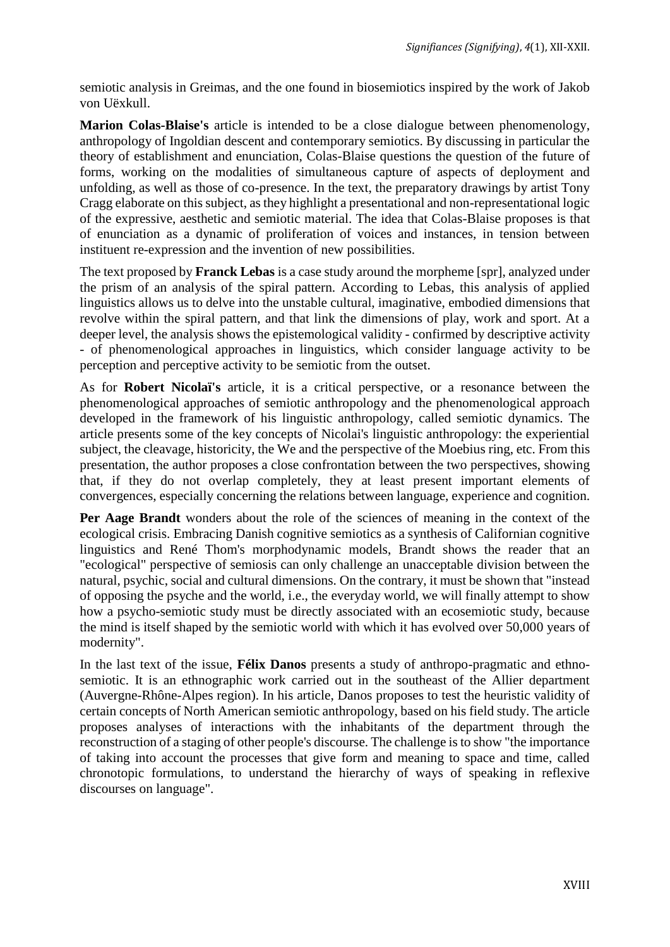semiotic analysis in Greimas, and the one found in biosemiotics inspired by the work of Jakob von Uëxkull.

**Marion Colas-Blaise's** article is intended to be a close dialogue between phenomenology, anthropology of Ingoldian descent and contemporary semiotics. By discussing in particular the theory of establishment and enunciation, Colas-Blaise questions the question of the future of forms, working on the modalities of simultaneous capture of aspects of deployment and unfolding, as well as those of co-presence. In the text, the preparatory drawings by artist Tony Cragg elaborate on this subject, as they highlight a presentational and non-representational logic of the expressive, aesthetic and semiotic material. The idea that Colas-Blaise proposes is that of enunciation as a dynamic of proliferation of voices and instances, in tension between instituent re-expression and the invention of new possibilities.

The text proposed by **Franck Lebas** is a case study around the morpheme [spr], analyzed under the prism of an analysis of the spiral pattern. According to Lebas, this analysis of applied linguistics allows us to delve into the unstable cultural, imaginative, embodied dimensions that revolve within the spiral pattern, and that link the dimensions of play, work and sport. At a deeper level, the analysis shows the epistemological validity - confirmed by descriptive activity - of phenomenological approaches in linguistics, which consider language activity to be perception and perceptive activity to be semiotic from the outset.

As for **Robert Nicolaï's** article, it is a critical perspective, or a resonance between the phenomenological approaches of semiotic anthropology and the phenomenological approach developed in the framework of his linguistic anthropology, called semiotic dynamics. The article presents some of the key concepts of Nicolai's linguistic anthropology: the experiential subject, the cleavage, historicity, the We and the perspective of the Moebius ring, etc. From this presentation, the author proposes a close confrontation between the two perspectives, showing that, if they do not overlap completely, they at least present important elements of convergences, especially concerning the relations between language, experience and cognition.

**Per Aage Brandt** wonders about the role of the sciences of meaning in the context of the ecological crisis. Embracing Danish cognitive semiotics as a synthesis of Californian cognitive linguistics and René Thom's morphodynamic models, Brandt shows the reader that an "ecological" perspective of semiosis can only challenge an unacceptable division between the natural, psychic, social and cultural dimensions. On the contrary, it must be shown that "instead of opposing the psyche and the world, i.e., the everyday world, we will finally attempt to show how a psycho-semiotic study must be directly associated with an ecosemiotic study, because the mind is itself shaped by the semiotic world with which it has evolved over 50,000 years of modernity".

In the last text of the issue, **Félix Danos** presents a study of anthropo-pragmatic and ethnosemiotic. It is an ethnographic work carried out in the southeast of the Allier department (Auvergne-Rhône-Alpes region). In his article, Danos proposes to test the heuristic validity of certain concepts of North American semiotic anthropology, based on his field study. The article proposes analyses of interactions with the inhabitants of the department through the reconstruction of a staging of other people's discourse. The challenge is to show "the importance of taking into account the processes that give form and meaning to space and time, called chronotopic formulations, to understand the hierarchy of ways of speaking in reflexive discourses on language".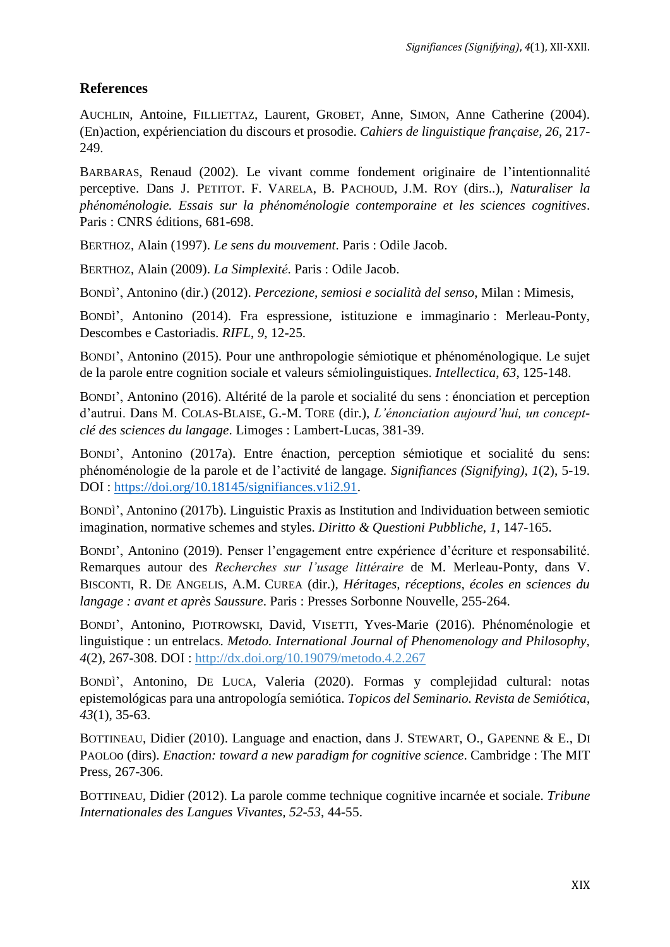### **References**

AUCHLIN, Antoine, FILLIETTAZ, Laurent, GROBET, Anne, SIMON, Anne Catherine (2004). (En)action, expérienciation du discours et prosodie. *Cahiers de linguistique française, 26*, 217- 249.

BARBARAS, Renaud (2002). Le vivant comme fondement originaire de l'intentionnalité perceptive. Dans J. PETITOT. F. VARELA, B. PACHOUD, J.M. ROY (dirs..), *Naturaliser la phénoménologie. Essais sur la phénoménologie contemporaine et les sciences cognitives*. Paris : CNRS éditions, 681-698.

BERTHOZ, Alain (1997). *Le sens du mouvement*. Paris : Odile Jacob.

BERTHOZ, Alain (2009). *La Simplexité*. Paris : Odile Jacob.

BONDÌ', Antonino (dir.) (2012). *Percezione, semiosi e socialità del senso*, Milan : Mimesis,

BONDÌ', Antonino (2014). Fra espressione, istituzione e immaginario : Merleau-Ponty, Descombes e Castoriadis. *RIFL*, *9*, 12-25.

BONDI', Antonino (2015). Pour une anthropologie sémiotique et phénoménologique. Le sujet de la parole entre cognition sociale et valeurs sémiolinguistiques. *Intellectica*, *63*, 125-148.

BONDI', Antonino (2016). Altérité de la parole et socialité du sens : énonciation et perception d'autrui. Dans M. COLAS-BLAISE, G.-M. TORE (dir.), *L'énonciation aujourd'hui, un conceptclé des sciences du langage*. Limoges : Lambert-Lucas, 381-39.

BONDI', Antonino (2017a). Entre énaction, perception sémiotique et socialité du sens: phénoménologie de la parole et de l'activité de langage. *Signifiances (Signifying)*, *1*(2), 5-19. DOI : [https://doi.org/10.18145/signifiances.v1i2.91.](https://doi.org/10.18145/signifiances.v1i2.91)

BONDÌ', Antonino (2017b). Linguistic Praxis as Institution and Individuation between semiotic imagination, normative schemes and styles. *Diritto & Questioni Pubbliche, 1*, 147-165.

BONDI', Antonino (2019). Penser l'engagement entre expérience d'écriture et responsabilité. Remarques autour des *Recherches sur l'usage littéraire* de M. Merleau-Ponty, dans V. BISCONTI, R. DE ANGELIS, A.M. CUREA (dir.), *Héritages, réceptions, écoles en sciences du langage : avant et après Saussure*. Paris : Presses Sorbonne Nouvelle, 255-264.

BONDI', Antonino, PIOTROWSKI, David, VISETTI, Yves-Marie (2016). Phénoménologie et linguistique : un entrelacs. *Metodo. International Journal of Phenomenology and Philosophy, 4*(2), 267-308. DOI : [http://dx.doi.org/10.19079/metodo.4.2.267](http://dx.doi.org/10.19079%2Fmetodo.4.2.267)

BONDÌ', Antonino, DE LUCA, Valeria (2020). Formas y complejidad cultural: notas epistemológicas para una antropología semiótica. *Topicos del Seminario. Revista de Semiótica*, *43*(1), 35-63.

BOTTINEAU, Didier (2010). Language and enaction, dans J. STEWART, O., GAPENNE & E., DI PAOLOo (dirs). *Enaction: toward a new paradigm for cognitive science*. Cambridge : The MIT Press, 267-306.

BOTTINEAU, Didier (2012). La parole comme technique cognitive incarnée et sociale. *Tribune Internationales des Langues Vivantes, 52-53*, 44-55.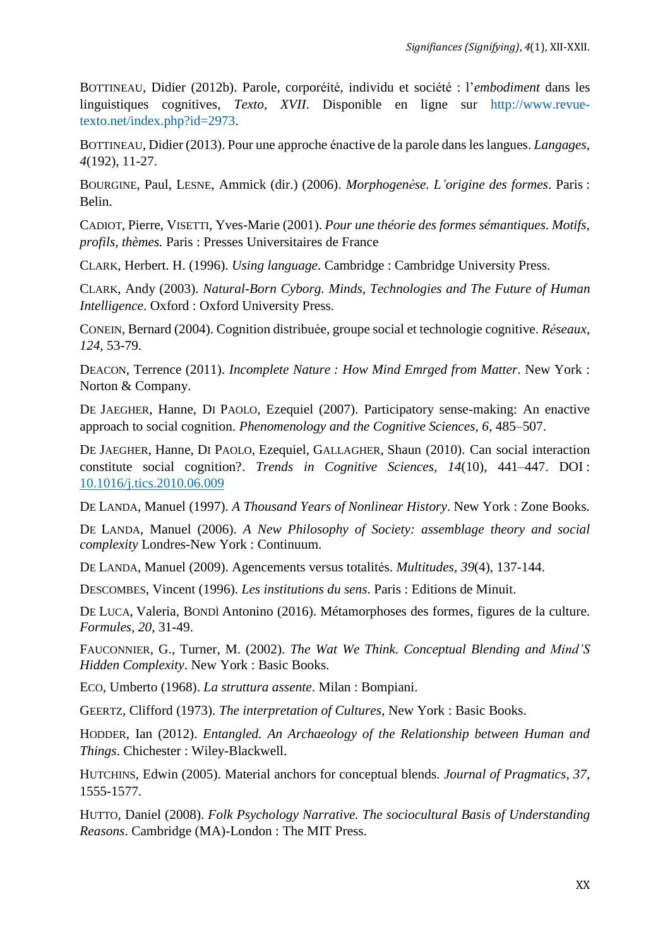BOTTINEAU, Didier (2012b). Parole, corporéité, individu et société : l'*embodiment* dans les linguistiques cognitives, *Texto*, *XVII*. Disponible en ligne sur http://www.revuetexto.net/index.php?id=2973.

BOTTINEAU, Didier (2013). Pour une approche énactive de la parole dans les langues. *Langages*, *4*(192), 11-27.

BOURGINE, Paul, LESNE, Ammick (dir.) (2006). *Morphogenèse. L'origine des formes*. Paris : Belin.

CADIOT, Pierre, VISETTI, Yves-Marie (2001). *Pour une théorie des formes sémantiques. Motifs, profils, thèmes.* Paris : Presses Universitaires de France

CLARK, Herbert. H. (1996). *Using language*. Cambridge : Cambridge University Press.

CLARK, Andy (2003). *Natural-Born Cyborg. Minds, Technologies and The Future of Human Intelligence*. Oxford : Oxford University Press.

CONEIN, Bernard (2004). Cognition distribuée, groupe social et technologie cognitive. *Réseaux*, *124*, 53-79.

DEACON, Terrence (2011). *Incomplete Nature : How Mind Emrged from Matter*. New York : Norton & Company.

DE JAEGHER, Hanne, DI PAOLO, Ezequiel (2007). Participatory sense-making: An enactive approach to social cognition. *Phenomenology and the Cognitive Sciences, 6*, 485–507.

DE JAEGHER, Hanne, DI PAOLO, Ezequiel, GALLAGHER, Shaun (2010). Can social interaction constitute social cognition?. *Trends in Cognitive Sciences, 14*(10), 441–447. DOI : [10.1016/j.tics.2010.06.009](https://doi.org/10.1016/j.tics.2010.06.009)

DE LANDA, Manuel (1997). *A Thousand Years of Nonlinear History*. New York : Zone Books.

DE LANDA, Manuel (2006). *A New Philosophy of Society: assemblage theory and social complexity* Londres-New York : Continuum.

DE LANDA, Manuel (2009). Agencements versus totalités. *Multitudes*, *39*(4), 137-144.

DESCOMBES, Vincent (1996). *Les institutions du sens*. Paris : Editions de Minuit.

DE LUCA, Valeria, BONDÌ Antonino (2016). Métamorphoses des formes, figures de la culture. *Formules, 20*, 31-49.

FAUCONNIER, G., Turner, M. (2002). *The Wat We Think. Conceptual Blending and Mind'S Hidden Complexity*. New York : Basic Books.

ECO, Umberto (1968). *La struttura assente*. Milan : Bompiani.

GEERTZ, Clifford (1973). *The interpretation of Cultures*, New York : Basic Books.

HODDER, Ian (2012). *Entangled. An Archaeology of the Relationship between Human and Things*. Chichester : Wiley-Blackwell.

HUTCHINS, Edwin (2005). Material anchors for conceptual blends. *Journal of Pragmatics*, *37*, 1555-1577.

HUTTO, Daniel (2008). *Folk Psychology Narrative. The sociocultural Basis of Understanding Reasons*. Cambridge (MA)-London : The MIT Press.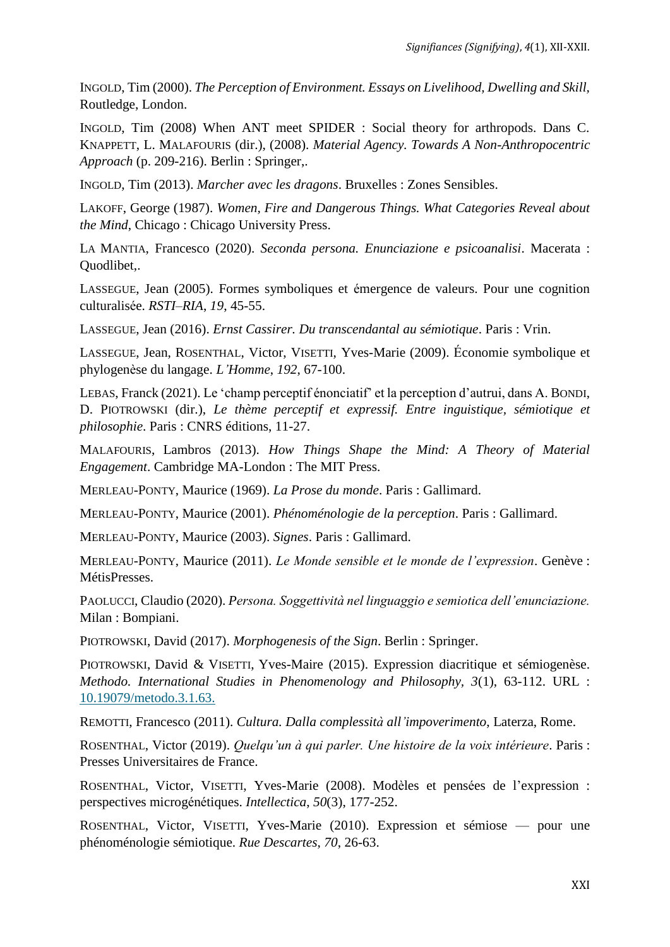INGOLD, Tim (2000). *The Perception of Environment. Essays on Livelihood, Dwelling and Skill,*  Routledge, London.

INGOLD, Tim (2008) When ANT meet SPIDER : Social theory for arthropods. Dans C. KNAPPETT, L. MALAFOURIS (dir.), (2008). *Material Agency. Towards A Non-Anthropocentric Approach* (p. 209-216). Berlin : Springer,.

INGOLD, Tim (2013). *Marcher avec les dragons*. Bruxelles : Zones Sensibles.

LAKOFF, George (1987). *Women, Fire and Dangerous Things. What Categories Reveal about the Mind*, Chicago : Chicago University Press.

LA MANTIA, Francesco (2020). *Seconda persona. Enunciazione e psicoanalisi*. Macerata : Quodlibet,.

LASSEGUE, Jean (2005). Formes symboliques et émergence de valeurs. Pour une cognition culturalisée. *RSTI–RIA*, *19*, 45-55.

LASSEGUE, Jean (2016). *Ernst Cassirer. Du transcendantal au sémiotique*. Paris : Vrin.

LASSEGUE, Jean, ROSENTHAL, Victor, VISETTI, Yves-Marie (2009). Économie symbolique et phylogenèse du langage. *L'Homme*, *192*, 67-100.

LEBAS, Franck (2021). Le 'champ perceptif énonciatif' et la perception d'autrui, dans A. BONDI, D. PIOTROWSKI (dir.), *Le thème perceptif et expressif. Entre inguistique, sémiotique et philosophie*. Paris : CNRS éditions, 11-27.

MALAFOURIS, Lambros (2013). *How Things Shape the Mind: A Theory of Material Engagement*. Cambridge MA-London : The MIT Press.

MERLEAU-PONTY, Maurice (1969). *La Prose du monde*. Paris : Gallimard.

MERLEAU-PONTY, Maurice (2001). *Phénoménologie de la perception*. Paris : Gallimard.

MERLEAU-PONTY, Maurice (2003). *Signes*. Paris : Gallimard.

MERLEAU-PONTY, Maurice (2011). *Le Monde sensible et le monde de l'expression*. Genève : MétisPresses.

PAOLUCCI, Claudio (2020). *Persona. Soggettività nel linguaggio e semiotica dell'enunciazione.*  Milan : Bompiani.

PIOTROWSKI, David (2017). *Morphogenesis of the Sign*. Berlin : Springer.

PIOTROWSKI, David & VISETTI, Yves-Maire (2015). Expression diacritique et sémiogenèse. *Methodo. International Studies in Phenomenology and Philosophy, 3*(1), 63-112. URL : [10.19079/metodo.3.1.63.](https://doi.org/10.19079/metodo.3.1.63)

REMOTTI, Francesco (2011). *Cultura. Dalla complessità all'impoverimento*, Laterza, Rome.

ROSENTHAL, Victor (2019). *Quelqu'un à qui parler. Une histoire de la voix intérieure*. Paris : Presses Universitaires de France.

ROSENTHAL, Victor, VISETTI, Yves-Marie (2008). Modèles et pensées de l'expression : perspectives microgénétiques. *Intellectica*, *50*(3), 177-252.

ROSENTHAL, Victor, VISETTI, Yves-Marie (2010). Expression et sémiose — pour une phénoménologie sémiotique. *Rue Descartes*, *70*, 26-63.